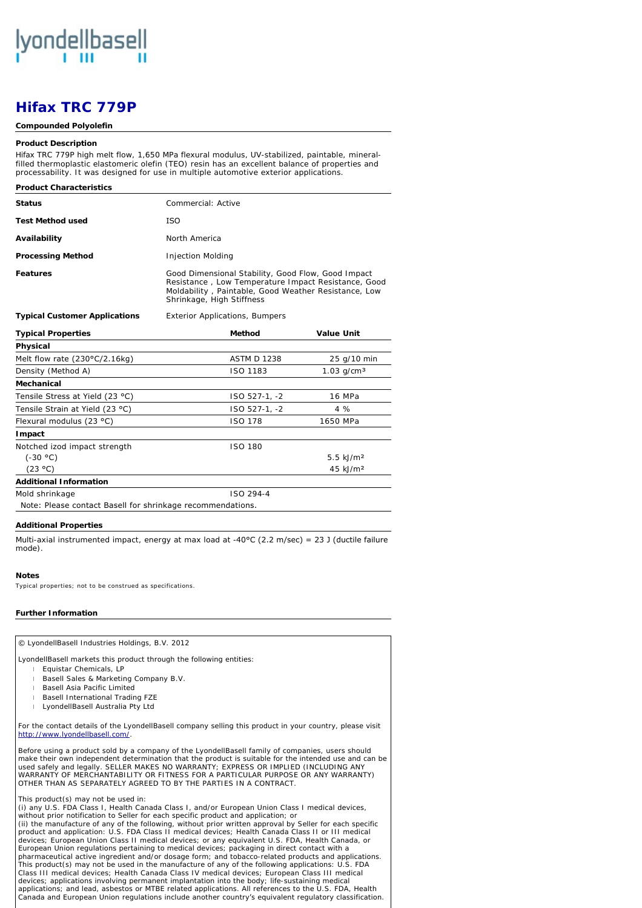

# *Hifax* **TRC 779P**

#### **Compounded Polyolefin**

#### **Product Description**

*Hifax* TRC 779P high melt flow, 1,650 MPa flexural modulus, UV-stabilized, paintable, mineralfilled thermoplastic elastomeric olefin (TEO) resin has an excellent balance of properties and processability. It was designed for use in multiple automotive exterior applications.

| <b>Product Characteristics</b>       |                                                                                                                                                                                                |
|--------------------------------------|------------------------------------------------------------------------------------------------------------------------------------------------------------------------------------------------|
| <b>Status</b>                        | Commercial: Active                                                                                                                                                                             |
| Test Method used                     | ISO.                                                                                                                                                                                           |
| Availability                         | North America                                                                                                                                                                                  |
| <b>Processing Method</b>             | Injection Molding                                                                                                                                                                              |
| <b>Features</b>                      | Good Dimensional Stability, Good Flow, Good Impact<br>Resistance, Low Temperature Impact Resistance, Good<br>Moldability, Paintable, Good Weather Resistance, Low<br>Shrinkage, High Stiffness |
| <b>Typical Customer Applications</b> | Exterior Applications Bumpers                                                                                                                                                                  |

| <b>Typical Properties</b>                                         | Method             | Value Unit               |
|-------------------------------------------------------------------|--------------------|--------------------------|
| Physical                                                          |                    |                          |
| Melt flow rate (230°C/2.16kg)                                     | <b>ASTM D 1238</b> | 25 g/10 min              |
| Density (Method A)                                                | ISO 1183           | $1.03$ g/cm <sup>3</sup> |
| Mechanical                                                        |                    |                          |
| Tensile Stress at Yield (23 °C)                                   | ISO 527-1, -2      | 16 MPa                   |
| Tensile Strain at Yield (23 °C)                                   | ISO 527-1, -2      | 4 %                      |
| Flexural modulus (23 °C)                                          | <b>ISO 178</b>     | 1650 MPa                 |
| Impact                                                            |                    |                          |
| Notched izod impact strength                                      | ISO 180            |                          |
| $(-30 °C)$                                                        |                    | $5.5$ kJ/m <sup>2</sup>  |
| (23 °C)                                                           |                    | 45 kJ/m <sup>2</sup>     |
| <b>Additional Information</b>                                     |                    |                          |
| Mold shrinkage                                                    | ISO 294-4          |                          |
| <i>Note:</i> Please contact Basell for shrinkage recommendations. |                    |                          |

## **Additional Properties**

Multi-axial instrumented impact, energy at max load at -40°C (2.2 m/sec) = 23 J (ductile failure mode).

## **Notes**

Typical properties; not to be construed as specifications.

**Further Information** © LyondellBasell Industries Holdings, B.V. 2012 LyondellBasell markets this product through the following entities: [For the contact details of the Ly](http://www.lyondellbasell.com/)ondellBasell company selling this product in your country, please visit http://www.lyondellbasell.com/. Before using a product sold by a company of the LyondellBasell family of companies, users should make their own independent determination that the product is suitable for the intended use and can be used safely and legally. SELLER MAKES NO WARRANTY; EXPRESS OR IMPLIED (INCLUDING ANY<br>WARRANTY OF MERCHANTABILITY OR FITNESS FOR A PARTICULAR PURPOSE OR ANY WARRANTY) OTHER THAN AS SEPARATELY AGREED TO BY THE PARTIES IN A CONTRACT. This product(s) may not be used in: (i) any U.S. FDA Class I, Health Canada Class I, and/or European Union Class I medical devices, without prior notification to Seller for each specific product and application; or<br>(ii) the manufacture of any of the following, without prior written approval by Seller for each specific<br>product and application: U.S. FDA devices; European Union Class II medical devices; or any equivalent U.S. FDA, Health Canada, or<br>European Union regulations pertaining to medical devices; packaging in direct contact with a<br>pharmaceutical active ingredient This product(s) may not be used in the manufacture of any of the following applications: U.S. FDA Class III medical devices; Health Canada Class IV medical devices; European Class III medical devices; applications involving permanent implantation into the body; life-sustaining medical applications; and lead, asbestos or MTBE related applications. All references to the U.S. FDA, Health Canada and European Union regulations include another country's equivalent regulatory classification. l Equistar Chemicals, LP l Basell Sales & Marketing Company B.V. l Basell Asia Pacific Limited l Basell International Trading FZE l LyondellBasell Australia Pty Ltd